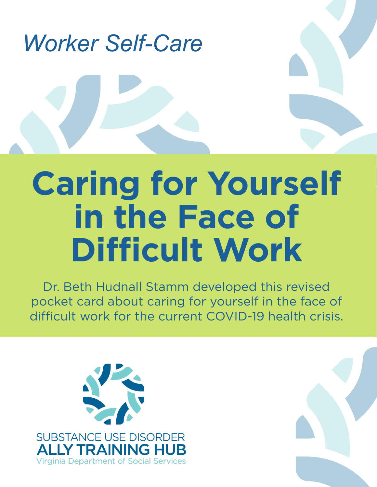

# **Caring for Yourself in the Face of Difficult Work**

Dr. Beth Hudnall Stamm developed this revised pocket card about caring for yourself in the face of difficult work for the current COVID-19 health crisis.